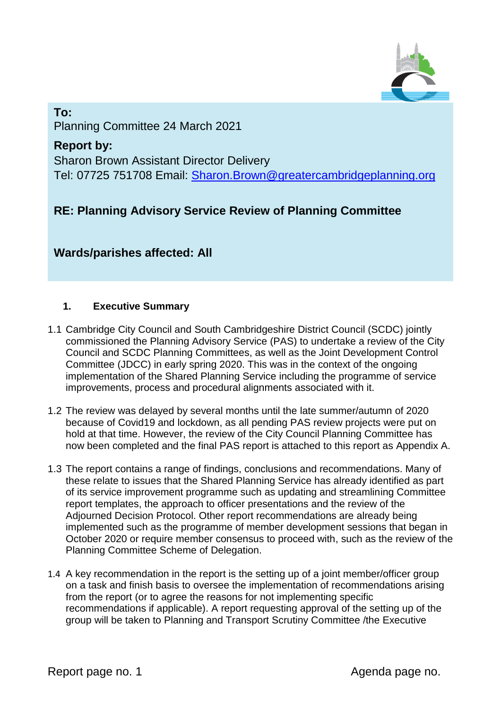

## **To:**  Planning Committee 24 March 2021

**Report by:**  Sharon Brown Assistant Director Delivery Tel: 07725 751708 Email: [Sharon.Brown@greatercambridgeplanning.org](mailto:Sharon.Brown@greatercambridgeplanning.org)

# **RE: Planning Advisory Service Review of Planning Committee**

**Wards/parishes affected: All**

## **1. Executive Summary**

- 1.1 Cambridge City Council and South Cambridgeshire District Council (SCDC) jointly commissioned the Planning Advisory Service (PAS) to undertake a review of the City Council and SCDC Planning Committees, as well as the Joint Development Control Committee (JDCC) in early spring 2020. This was in the context of the ongoing implementation of the Shared Planning Service including the programme of service improvements, process and procedural alignments associated with it.
- 1.2 The review was delayed by several months until the late summer/autumn of 2020 because of Covid19 and lockdown, as all pending PAS review projects were put on hold at that time. However, the review of the City Council Planning Committee has now been completed and the final PAS report is attached to this report as Appendix A.
- 1.3 The report contains a range of findings, conclusions and recommendations. Many of these relate to issues that the Shared Planning Service has already identified as part of its service improvement programme such as updating and streamlining Committee report templates, the approach to officer presentations and the review of the Adjourned Decision Protocol. Other report recommendations are already being implemented such as the programme of member development sessions that began in October 2020 or require member consensus to proceed with, such as the review of the Planning Committee Scheme of Delegation.
- 1.4 A key recommendation in the report is the setting up of a joint member/officer group on a task and finish basis to oversee the implementation of recommendations arising from the report (or to agree the reasons for not implementing specific recommendations if applicable). A report requesting approval of the setting up of the group will be taken to Planning and Transport Scrutiny Committee /the Executive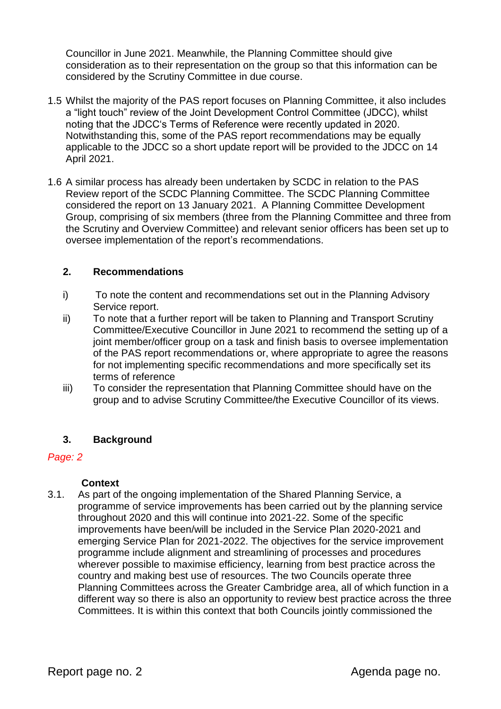Councillor in June 2021. Meanwhile, the Planning Committee should give consideration as to their representation on the group so that this information can be considered by the Scrutiny Committee in due course.

- 1.5 Whilst the majority of the PAS report focuses on Planning Committee, it also includes a "light touch" review of the Joint Development Control Committee (JDCC), whilst noting that the JDCC's Terms of Reference were recently updated in 2020. Notwithstanding this, some of the PAS report recommendations may be equally applicable to the JDCC so a short update report will be provided to the JDCC on 14 April 2021.
- 1.6 A similar process has already been undertaken by SCDC in relation to the PAS Review report of the SCDC Planning Committee. The SCDC Planning Committee considered the report on 13 January 2021. A Planning Committee Development Group, comprising of six members (three from the Planning Committee and three from the Scrutiny and Overview Committee) and relevant senior officers has been set up to oversee implementation of the report's recommendations.

#### **2. Recommendations**

- i) To note the content and recommendations set out in the Planning Advisory Service report.
- ii) To note that a further report will be taken to Planning and Transport Scrutiny Committee/Executive Councillor in June 2021 to recommend the setting up of a joint member/officer group on a task and finish basis to oversee implementation of the PAS report recommendations or, where appropriate to agree the reasons for not implementing specific recommendations and more specifically set its terms of reference
- iii) To consider the representation that Planning Committee should have on the group and to advise Scrutiny Committee/the Executive Councillor of its views.

#### **3. Background**

#### *Page: 2*

#### **Context**

3.1. As part of the ongoing implementation of the Shared Planning Service, a programme of service improvements has been carried out by the planning service throughout 2020 and this will continue into 2021-22. Some of the specific improvements have been/will be included in the Service Plan 2020-2021 and emerging Service Plan for 2021-2022. The objectives for the service improvement programme include alignment and streamlining of processes and procedures wherever possible to maximise efficiency, learning from best practice across the country and making best use of resources. The two Councils operate three Planning Committees across the Greater Cambridge area, all of which function in a different way so there is also an opportunity to review best practice across the three Committees. It is within this context that both Councils jointly commissioned the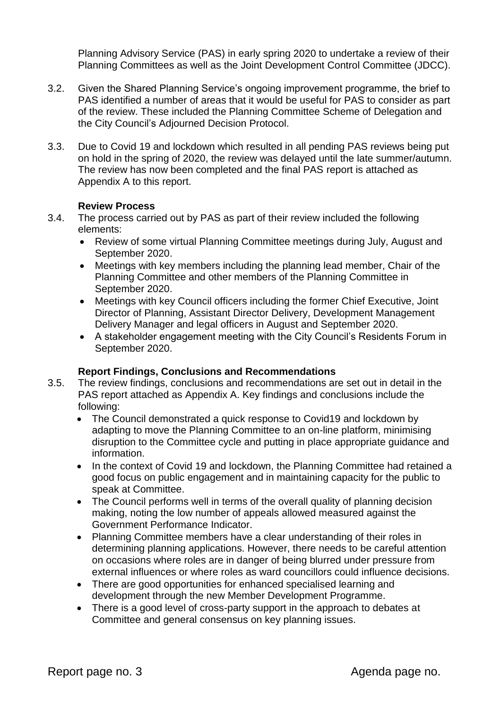Planning Advisory Service (PAS) in early spring 2020 to undertake a review of their Planning Committees as well as the Joint Development Control Committee (JDCC).

- 3.2. Given the Shared Planning Service's ongoing improvement programme, the brief to PAS identified a number of areas that it would be useful for PAS to consider as part of the review. These included the Planning Committee Scheme of Delegation and the City Council's Adjourned Decision Protocol.
- 3.3. Due to Covid 19 and lockdown which resulted in all pending PAS reviews being put on hold in the spring of 2020, the review was delayed until the late summer/autumn. The review has now been completed and the final PAS report is attached as Appendix A to this report.

#### **Review Process**

- 3.4. The process carried out by PAS as part of their review included the following elements:
	- Review of some virtual Planning Committee meetings during July, August and September 2020.
	- Meetings with key members including the planning lead member, Chair of the Planning Committee and other members of the Planning Committee in September 2020.
	- Meetings with key Council officers including the former Chief Executive, Joint Director of Planning, Assistant Director Delivery, Development Management Delivery Manager and legal officers in August and September 2020.
	- A stakeholder engagement meeting with the City Council's Residents Forum in September 2020.

#### **Report Findings, Conclusions and Recommendations**

- 3.5. The review findings, conclusions and recommendations are set out in detail in the PAS report attached as Appendix A. Key findings and conclusions include the following:
	- The Council demonstrated a quick response to Covid19 and lockdown by adapting to move the Planning Committee to an on-line platform, minimising disruption to the Committee cycle and putting in place appropriate guidance and information.
	- In the context of Covid 19 and lockdown, the Planning Committee had retained a good focus on public engagement and in maintaining capacity for the public to speak at Committee.
	- The Council performs well in terms of the overall quality of planning decision making, noting the low number of appeals allowed measured against the Government Performance Indicator.
	- Planning Committee members have a clear understanding of their roles in determining planning applications. However, there needs to be careful attention on occasions where roles are in danger of being blurred under pressure from external influences or where roles as ward councillors could influence decisions.
	- There are good opportunities for enhanced specialised learning and development through the new Member Development Programme.
	- There is a good level of cross-party support in the approach to debates at Committee and general consensus on key planning issues.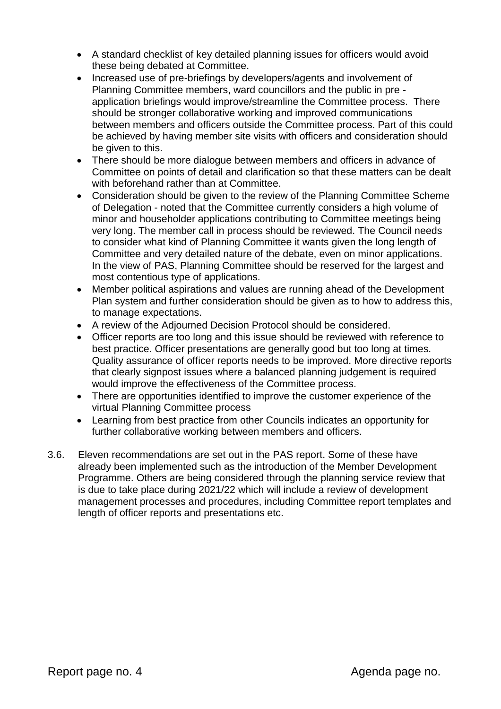- A standard checklist of key detailed planning issues for officers would avoid these being debated at Committee.
- Increased use of pre-briefings by developers/agents and involvement of Planning Committee members, ward councillors and the public in pre application briefings would improve/streamline the Committee process. There should be stronger collaborative working and improved communications between members and officers outside the Committee process. Part of this could be achieved by having member site visits with officers and consideration should be given to this.
- There should be more dialogue between members and officers in advance of Committee on points of detail and clarification so that these matters can be dealt with beforehand rather than at Committee.
- Consideration should be given to the review of the Planning Committee Scheme of Delegation - noted that the Committee currently considers a high volume of minor and householder applications contributing to Committee meetings being very long. The member call in process should be reviewed. The Council needs to consider what kind of Planning Committee it wants given the long length of Committee and very detailed nature of the debate, even on minor applications. In the view of PAS, Planning Committee should be reserved for the largest and most contentious type of applications.
- Member political aspirations and values are running ahead of the Development Plan system and further consideration should be given as to how to address this, to manage expectations.
- A review of the Adjourned Decision Protocol should be considered.
- Officer reports are too long and this issue should be reviewed with reference to best practice. Officer presentations are generally good but too long at times. Quality assurance of officer reports needs to be improved. More directive reports that clearly signpost issues where a balanced planning judgement is required would improve the effectiveness of the Committee process.
- There are opportunities identified to improve the customer experience of the virtual Planning Committee process
- Learning from best practice from other Councils indicates an opportunity for further collaborative working between members and officers.
- 3.6. Eleven recommendations are set out in the PAS report. Some of these have already been implemented such as the introduction of the Member Development Programme. Others are being considered through the planning service review that is due to take place during 2021/22 which will include a review of development management processes and procedures, including Committee report templates and length of officer reports and presentations etc.